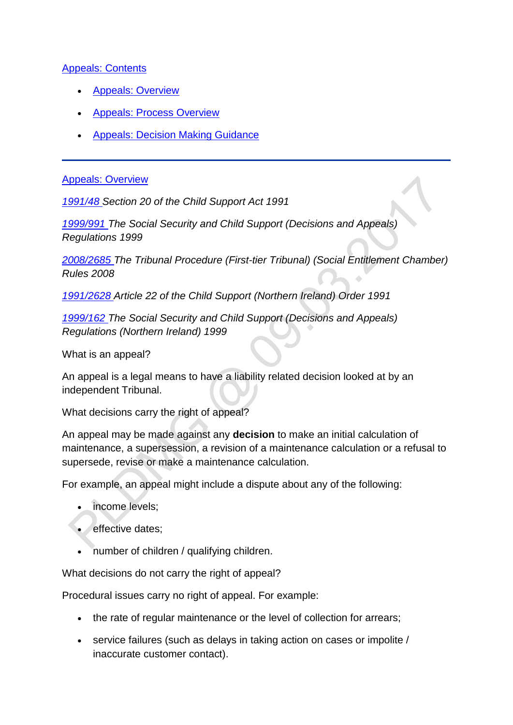### [Appeals: Contents](http://np-cmg-sharepoint.link2.gpn.gov.uk/sites/policy-law-and-decision-making-guidance/Pages/Appeals/Appeals.aspx)

- [Appeals: Overview](http://np-cmg-sharepoint.link2.gpn.gov.uk/sites/policy-law-and-decision-making-guidance/Pages/Appeals/Appeals.aspx#AppealsOverview)
- [Appeals: Process Overview](http://np-cmg-sharepoint.link2.gpn.gov.uk/sites/policy-law-and-decision-making-guidance/Pages/Appeals/Appeals.aspx#AppealsProcess)
- [Appeals: Decision Making Guidance](http://np-cmg-sharepoint.link2.gpn.gov.uk/sites/policy-law-and-decision-making-guidance/Pages/Appeals/Appeals.aspx#AppealsDMG)

#### [Appeals: Overview](http://np-cmg-sharepoint.link2.gpn.gov.uk/sites/policy-law-and-decision-making-guidance/Pages/Appeals/Appeals.aspx)

*[1991/48 S](http://www.legislation.gov.uk/ukpga/1991/48)ection 20 of the Child Support Act 1991*

*[1999/991 T](http://www.legislation.gov.uk/uksi/1999/991)he Social Security and Child Support (Decisions and Appeals) Regulations 1999*

*[2008/2685 T](http://www.legislation.gov.uk/uksi/2008/2685/contents)he Tribunal Procedure (First-tier Tribunal) (Social Entitlement Chamber) Rules 2008*  $\ddot{\phantom{0}}$ 

*[1991/2628 A](http://www.legislation.gov.uk/nisi/1991/2628/contents)rticle 22 of the Child Support (Northern Ireland) Order 1991*

*[1999/162 T](http://www.legislation.gov.uk/nisr/1999/162/contents/made)he Social Security and Child Support (Decisions and Appeals) Regulations (Northern Ireland) 1999*

What is an appeal?

An appeal is a legal means to have a liability related decision looked at by an independent Tribunal.

What decisions carry the right of appeal?

An appeal may be made against any **decision** to make an initial calculation of maintenance, a supersession, a revision of a maintenance calculation or a refusal to supersede, revise or make a maintenance calculation.

For example, an appeal might include a dispute about any of the following:

- income levels;
- effective dates;
- number of children / qualifying children.

What decisions do not carry the right of appeal?

Procedural issues carry no right of appeal. For example:

- the rate of regular maintenance or the level of collection for arrears;
- service failures (such as delays in taking action on cases or impolite / inaccurate customer contact).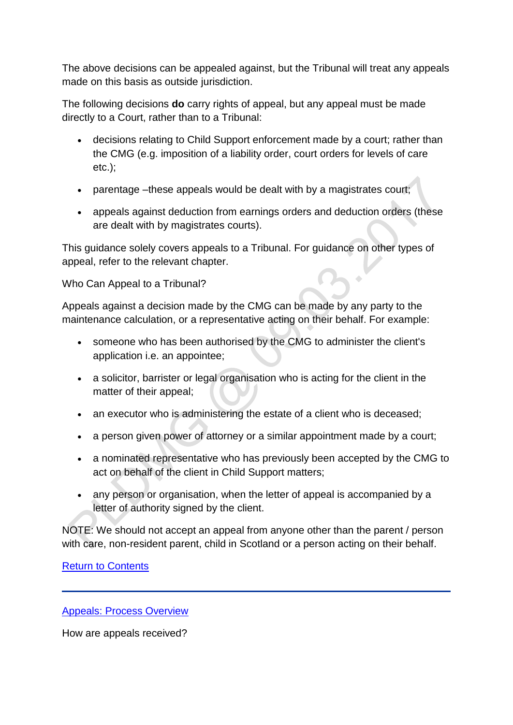The above decisions can be appealed against, but the Tribunal will treat any appeals made on this basis as outside jurisdiction.

The following decisions **do** carry rights of appeal, but any appeal must be made directly to a Court, rather than to a Tribunal:

- decisions relating to Child Support enforcement made by a court; rather than the CMG (e.g. imposition of a liability order, court orders for levels of care etc.);
- parentage –these appeals would be dealt with by a magistrates court;
- appeals against deduction from earnings orders and deduction orders (these are dealt with by magistrates courts).

This guidance solely covers appeals to a Tribunal. For guidance on other types of appeal, refer to the relevant chapter.

Who Can Appeal to a Tribunal?

Appeals against a decision made by the CMG can be made by any party to the maintenance calculation, or a representative acting on their behalf. For example:

- someone who has been authorised by the CMG to administer the client's application i.e. an appointee;
- a solicitor, barrister or legal organisation who is acting for the client in the matter of their appeal;
- an executor who is administering the estate of a client who is deceased;
- a person given power of attorney or a similar appointment made by a court;
- a nominated representative who has previously been accepted by the CMG to act on behalf of the client in Child Support matters;
- any person or organisation, when the letter of appeal is accompanied by a letter of authority signed by the client.

NOTE: We should not accept an appeal from anyone other than the parent / person with care, non-resident parent, child in Scotland or a person acting on their behalf.

[Return to Contents](http://np-cmg-sharepoint.link2.gpn.gov.uk/sites/policy-law-and-decision-making-guidance/Pages/Appeals/Appeals.aspx#Contents)

[Appeals: Process Overview](http://np-cmg-sharepoint.link2.gpn.gov.uk/sites/policy-law-and-decision-making-guidance/Pages/Appeals/Appeals.aspx)

How are appeals received?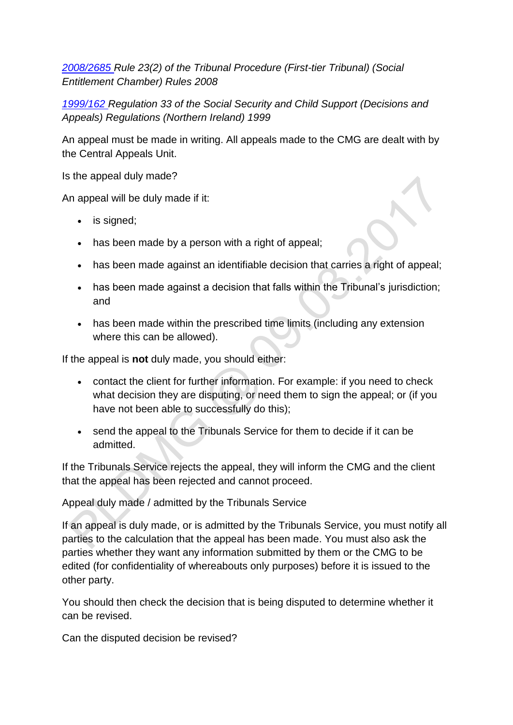*[2008/2685 R](http://www.legislation.gov.uk/uksi/2008/2685/contents)ule 23(2) of the Tribunal Procedure (First-tier Tribunal) (Social Entitlement Chamber) Rules 2008*

*[1999/162 R](http://www.legislation.gov.uk/nisr/1999/162/contents/made)egulation 33 of the Social Security and Child Support (Decisions and Appeals) Regulations (Northern Ireland) 1999*

An appeal must be made in writing. All appeals made to the CMG are dealt with by the Central Appeals Unit.

Is the appeal duly made?

An appeal will be duly made if it:

- is signed;
- has been made by a person with a right of appeal;
- has been made against an identifiable decision that carries a right of appeal;
- has been made against a decision that falls within the Tribunal's jurisdiction; and
- has been made within the prescribed time limits (including any extension where this can be allowed).

If the appeal is **not** duly made, you should either:

- contact the client for further information. For example: if you need to check what decision they are disputing, or need them to sign the appeal; or (if you have not been able to successfully do this);
- send the appeal to the Tribunals Service for them to decide if it can be admitted.

If the Tribunals Service rejects the appeal, they will inform the CMG and the client that the appeal has been rejected and cannot proceed.

Appeal duly made / admitted by the Tribunals Service

If an appeal is duly made, or is admitted by the Tribunals Service, you must notify all parties to the calculation that the appeal has been made. You must also ask the parties whether they want any information submitted by them or the CMG to be edited (for confidentiality of whereabouts only purposes) before it is issued to the other party.

You should then check the decision that is being disputed to determine whether it can be revised.

Can the disputed decision be revised?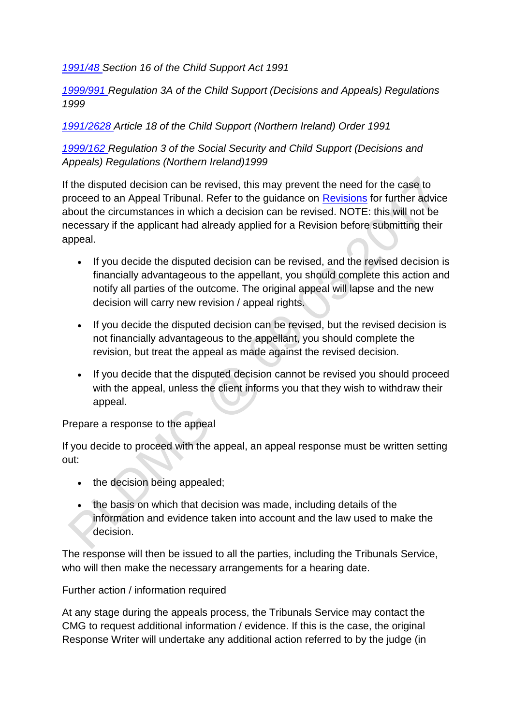*[1991/48 S](http://www.legislation.gov.uk/ukpga/1991/48)ection 16 of the Child Support Act 1991*

*[1999/991 R](http://www.legislation.gov.uk/uksi/1999/991)egulation 3A of the Child Support (Decisions and Appeals) Regulations 1999*

*[1991/2628 A](http://www.legislation.gov.uk/nisi/1991/2628/contents)rticle 18 of the Child Support (Northern Ireland) Order 1991*

*[1999/162 R](http://www.legislation.gov.uk/nisr/1999/162/contents/made)egulation 3 of the Social Security and Child Support (Decisions and Appeals) Regulations (Northern Ireland)1999*

If the disputed decision can be revised, this may prevent the need for the case to proceed to an Appeal Tribunal. Refer to the guidance on [Revisions](http://np-cmg-sharepoint.link2.gpn.gov.uk/sites/policy-law-and-decision-making-guidance/Pages/Revisions/Revisions.aspx) for further advice about the circumstances in which a decision can be revised. NOTE: this will not be necessary if the applicant had already applied for a Revision before submitting their appeal.

- If you decide the disputed decision can be revised, and the revised decision is financially advantageous to the appellant, you should complete this action and notify all parties of the outcome. The original appeal will lapse and the new decision will carry new revision / appeal rights.
- If you decide the disputed decision can be revised, but the revised decision is not financially advantageous to the appellant, you should complete the revision, but treat the appeal as made against the revised decision.
- If you decide that the disputed decision cannot be revised you should proceed with the appeal, unless the client informs you that they wish to withdraw their appeal.

Prepare a response to the appeal

If you decide to proceed with the appeal, an appeal response must be written setting out:

- the decision being appealed;
- the basis on which that decision was made, including details of the information and evidence taken into account and the law used to make the decision.

The response will then be issued to all the parties, including the Tribunals Service, who will then make the necessary arrangements for a hearing date.

Further action / information required

At any stage during the appeals process, the Tribunals Service may contact the CMG to request additional information / evidence. If this is the case, the original Response Writer will undertake any additional action referred to by the judge (in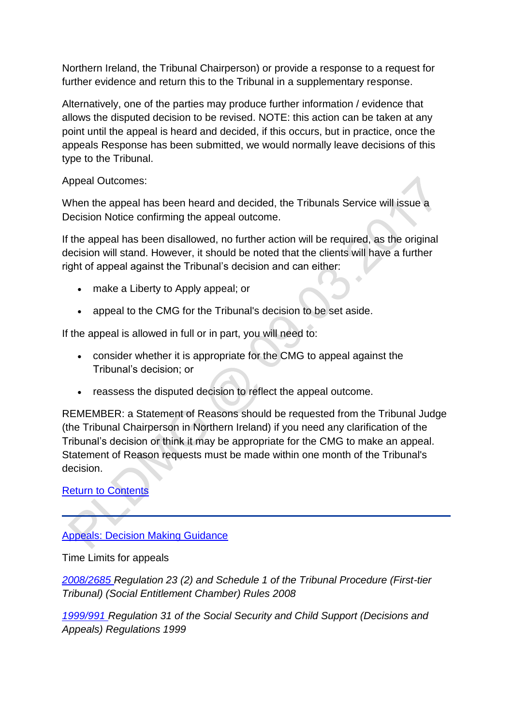Northern Ireland, the Tribunal Chairperson) or provide a response to a request for further evidence and return this to the Tribunal in a supplementary response.

Alternatively, one of the parties may produce further information / evidence that allows the disputed decision to be revised. NOTE: this action can be taken at any point until the appeal is heard and decided, if this occurs, but in practice, once the appeals Response has been submitted, we would normally leave decisions of this type to the Tribunal.

Appeal Outcomes:

When the appeal has been heard and decided, the Tribunals Service will issue a Decision Notice confirming the appeal outcome.

If the appeal has been disallowed, no further action will be required, as the original decision will stand. However, it should be noted that the clients will have a further right of appeal against the Tribunal's decision and can either:

 $\triangle$ 

- make a Liberty to Apply appeal; or
- appeal to the CMG for the Tribunal's decision to be set aside.

If the appeal is allowed in full or in part, you will need to:

- consider whether it is appropriate for the CMG to appeal against the Tribunal's decision; or
- reassess the disputed decision to reflect the appeal outcome.

REMEMBER: a Statement of Reasons should be requested from the Tribunal Judge (the Tribunal Chairperson in Northern Ireland) if you need any clarification of the Tribunal's decision or think it may be appropriate for the CMG to make an appeal. Statement of Reason requests must be made within one month of the Tribunal's decision.

# [Return to Contents](http://np-cmg-sharepoint.link2.gpn.gov.uk/sites/policy-law-and-decision-making-guidance/Pages/Appeals/Appeals.aspx#Contents)

# [Appeals: Decision Making Guidance](http://np-cmg-sharepoint.link2.gpn.gov.uk/sites/policy-law-and-decision-making-guidance/Pages/Appeals/Appeals.aspx)

Time Limits for appeals

*[2008/2685 R](http://www.legislation.gov.uk/uksi/2008/2685/contents)egulation 23 (2) and Schedule 1 of the Tribunal Procedure (First-tier Tribunal) (Social Entitlement Chamber) Rules 2008*

*[1999/991 R](http://www.legislation.gov.uk/uksi/1999/991)egulation 31 of the Social Security and Child Support (Decisions and Appeals) Regulations 1999*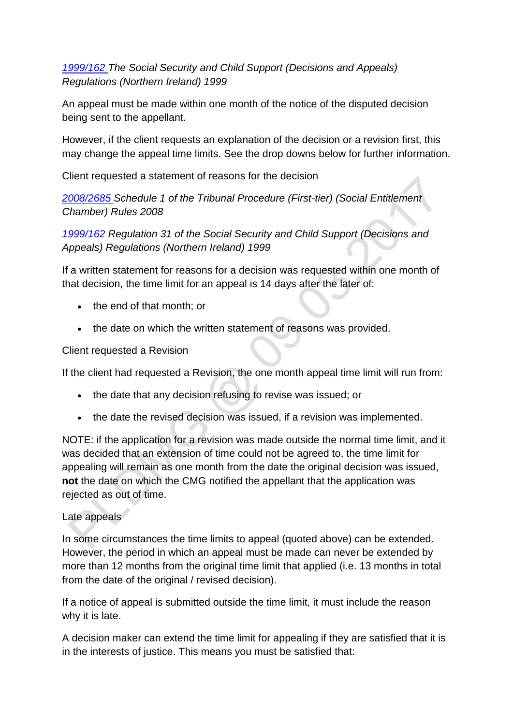## *[1999/162 T](http://www.legislation.gov.uk/nisr/1999/162/contents/made)he Social Security and Child Support (Decisions and Appeals) Regulations (Northern Ireland) 1999*

An appeal must be made within one month of the notice of the disputed decision being sent to the appellant.

However, if the client requests an explanation of the decision or a revision first, this may change the appeal time limits. See the drop downs below for further information.

Client requested a statement of reasons for the decision

*[2008/2685 S](http://www.legislation.gov.uk/uksi/2008/2685/contents)chedule 1 of the Tribunal Procedure (First-tier) (Social Entitlement Chamber) Rules 2008*

*[1999/162 R](http://www.legislation.gov.uk/nisr/1999/162/contents/made)egulation 31 of the Social Security and Child Support (Decisions and Appeals) Regulations (Northern Ireland) 1999*

If a written statement for reasons for a decision was requested within one month of that decision, the time limit for an appeal is 14 days after the later of:

- the end of that month; or
- the date on which the written statement of reasons was provided.

Client requested a Revision

If the client had requested a Revision, the one month appeal time limit will run from:

- the date that any decision refusing to revise was issued; or
- the date the revised decision was issued, if a revision was implemented.

NOTE: if the application for a revision was made outside the normal time limit, and it was decided that an extension of time could not be agreed to, the time limit for appealing will remain as one month from the date the original decision was issued, **not** the date on which the CMG notified the appellant that the application was rejected as out of time.

### Late appeals

In some circumstances the time limits to appeal (quoted above) can be extended. However, the period in which an appeal must be made can never be extended by more than 12 months from the original time limit that applied (i.e. 13 months in total from the date of the original / revised decision).

If a notice of appeal is submitted outside the time limit, it must include the reason why it is late.

A decision maker can extend the time limit for appealing if they are satisfied that it is in the interests of justice. This means you must be satisfied that: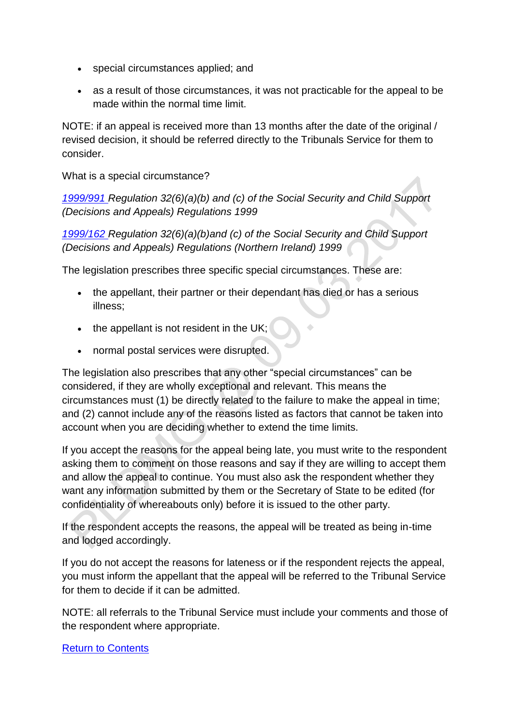- special circumstances applied; and
- as a result of those circumstances, it was not practicable for the appeal to be made within the normal time limit.

NOTE: if an appeal is received more than 13 months after the date of the original / revised decision, it should be referred directly to the Tribunals Service for them to consider.

What is a special circumstance?

*[1999/991 R](http://www.legislation.gov.uk/uksi/1999/991)egulation 32(6)(a)(b) and (c) of the Social Security and Child Support (Decisions and Appeals) Regulations 1999* 

*[1999/162 R](http://www.legislation.gov.uk/nisr/1999/162/contents/made)egulation 32(6)(a)(b)and (c) of the Social Security and Child Support (Decisions and Appeals) Regulations (Northern Ireland) 1999* 

The legislation prescribes three specific special circumstances. These are:

- the appellant, their partner or their dependant has died or has a serious illness;
- $\bullet$  the appellant is not resident in the UK;
- normal postal services were disrupted.

The legislation also prescribes that any other "special circumstances" can be considered, if they are wholly exceptional and relevant. This means the circumstances must (1) be directly related to the failure to make the appeal in time; and (2) cannot include any of the reasons listed as factors that cannot be taken into account when you are deciding whether to extend the time limits.

If you accept the reasons for the appeal being late, you must write to the respondent asking them to comment on those reasons and say if they are willing to accept them and allow the appeal to continue. You must also ask the respondent whether they want any information submitted by them or the Secretary of State to be edited (for confidentiality of whereabouts only) before it is issued to the other party.

If the respondent accepts the reasons, the appeal will be treated as being in-time and lodged accordingly.

If you do not accept the reasons for lateness or if the respondent rejects the appeal, you must inform the appellant that the appeal will be referred to the Tribunal Service for them to decide if it can be admitted.

NOTE: all referrals to the Tribunal Service must include your comments and those of the respondent where appropriate.

#### [Return to Contents](http://np-cmg-sharepoint.link2.gpn.gov.uk/sites/policy-law-and-decision-making-guidance/Pages/Appeals/Appeals.aspx#Contents)